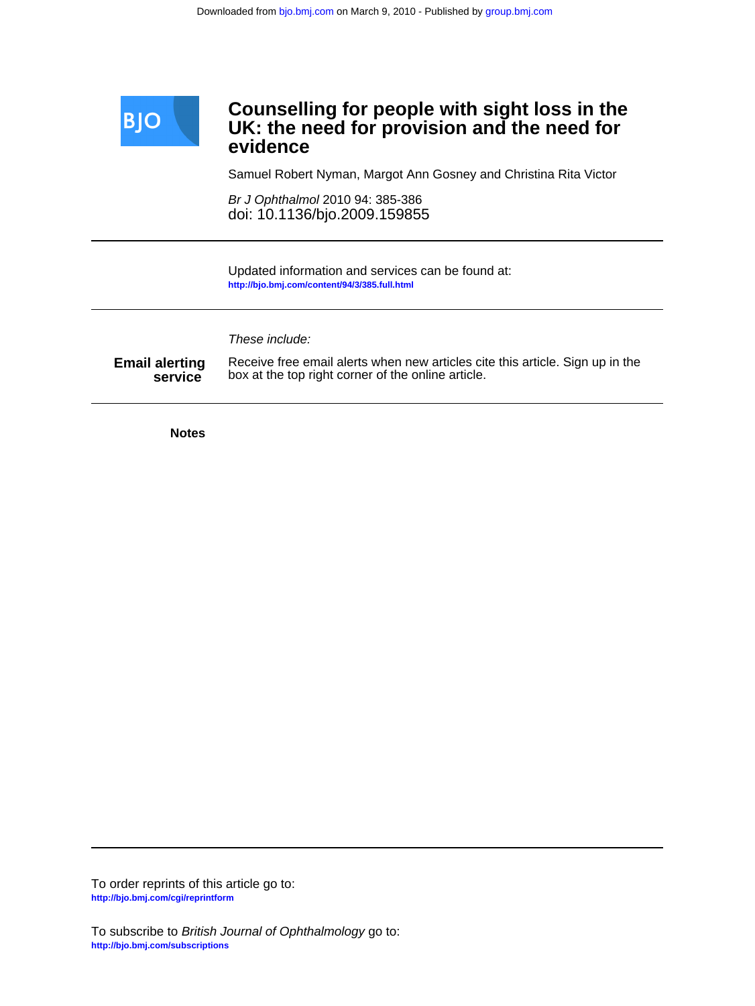

# **evidence UK: the need for provision and the need for Counselling for people with sight loss in the**

Samuel Robert Nyman, Margot Ann Gosney and Christina Rita Victor

doi: 10.1136/bjo.2009.159855 Br J Ophthalmol 2010 94: 385-386

**<http://bjo.bmj.com/content/94/3/385.full.html>** Updated information and services can be found at:

These include:

**service Email alerting** Receive free email alerts when new articles cit<br>service box at the top right corner of the online article. Receive free email alerts when new articles cite this article. Sign up in the

**Notes**

**<http://bjo.bmj.com/cgi/reprintform>** To order reprints of this article go to: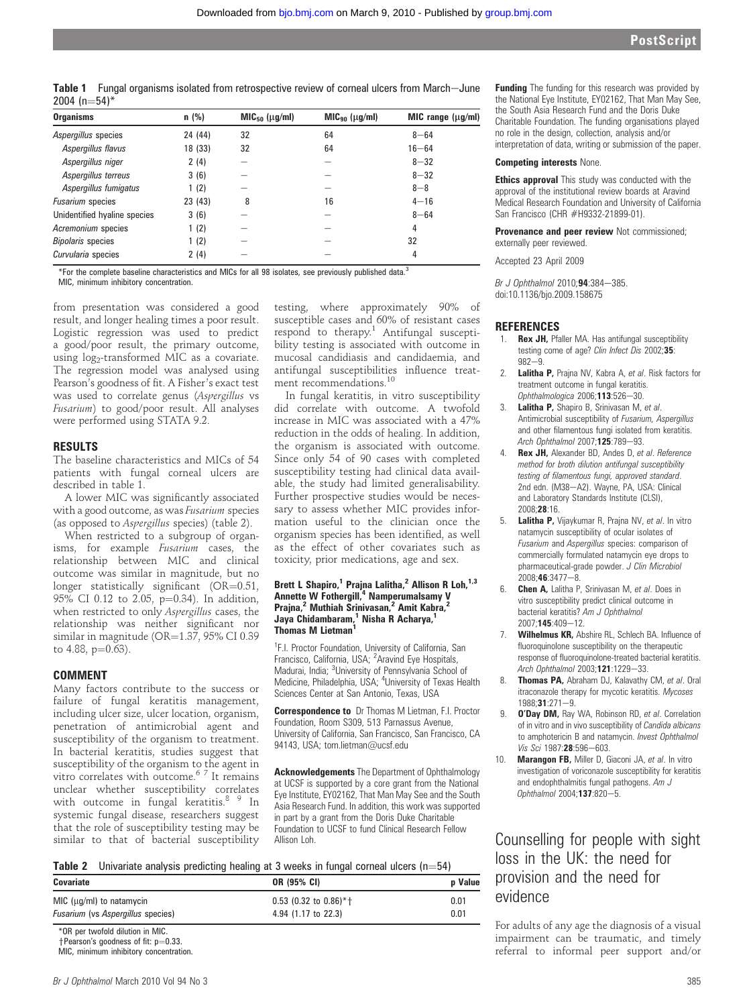Table 1 Fungal organisms isolated from retrospective review of corneal ulcers from March-June 2004 ( $n=54$ )\*

| <b>Organisms</b>             | $n$ (%) | $MIC_{50}$ ( $\mu$ g/ml) | $MIC_{90}$ ( $\mu$ g/ml) | $MIC$ range $(\mu g/ml)$ |
|------------------------------|---------|--------------------------|--------------------------|--------------------------|
| Aspergillus species          | 24 (44) | 32                       | 64                       | $8 - 64$                 |
| Aspergillus flavus           | 18 (33) | 32                       | 64                       | $16 - 64$                |
| Aspergillus niger            | 2(4)    |                          |                          | $8 - 32$                 |
| Aspergillus terreus          | 3(6)    |                          |                          | $8 - 32$                 |
| Aspergillus fumigatus        | 1(2)    |                          |                          | $8 - 8$                  |
| <b>Fusarium</b> species      | 23 (43) | 8                        | 16                       | $4 - 16$                 |
| Unidentified hyaline species | 3(6)    |                          |                          | $8 - 64$                 |
| Acremonium species           | 1(2)    |                          |                          | 4                        |
| <b>Bipolaris</b> species     | 1(2)    |                          |                          | 32                       |
| Curvularia species           | 2(4)    |                          |                          | 4                        |

\*For the complete baseline characteristics and MICs for all 98 isolates, see previously published data.<sup>3</sup>

MIC, minimum inhibitory concentration.

from presentation was considered a good result, and longer healing times a poor result. Logistic regression was used to predict a good/poor result, the primary outcome, using log<sub>2</sub>-transformed MIC as a covariate. The regression model was analysed using Pearson's goodness of fit. A Fisher's exact test was used to correlate genus (Aspergillus vs Fusarium) to good/poor result. All analyses were performed using STATA 9.2.

#### RESULTS

The baseline characteristics and MICs of 54 patients with fungal corneal ulcers are described in table 1.

A lower MIC was significantly associated with a good outcome, as was Fusarium species (as opposed to Aspergillus species) (table 2).

When restricted to a subgroup of organisms, for example Fusarium cases, the relationship between MIC and clinical outcome was similar in magnitude, but no longer statistically significant  $(OR=0.51,$ 95% CI 0.12 to 2.05,  $p=0.34$ ). In addition, when restricted to only Aspergillus cases, the relationship was neither significant nor similar in magnitude ( $OR=1.37$ , 95% CI 0.39 to 4.88,  $p=0.63$ ).

#### COMMENT

Many factors contribute to the success or failure of fungal keratitis management, including ulcer size, ulcer location, organism, penetration of antimicrobial agent and susceptibility of the organism to treatment. In bacterial keratitis, studies suggest that susceptibility of the organism to the agent in vitro correlates with outcome.6 7 It remains unclear whether susceptibility correlates with outcome in fungal keratitis.<sup>8</sup> 9 In systemic fungal disease, researchers suggest that the role of susceptibility testing may be similar to that of bacterial susceptibility testing, where approximately 90% of susceptible cases and 60% of resistant cases respond to therapy. $1$  Antifungal susceptibility testing is associated with outcome in mucosal candidiasis and candidaemia, and antifungal susceptibilities influence treatment recommendations.<sup>10</sup>

In fungal keratitis, in vitro susceptibility did correlate with outcome. A twofold increase in MIC was associated with a 47% reduction in the odds of healing. In addition, the organism is associated with outcome. Since only 54 of 90 cases with completed susceptibility testing had clinical data available, the study had limited generalisability. Further prospective studies would be necessary to assess whether MIC provides information useful to the clinician once the organism species has been identified, as well as the effect of other covariates such as toxicity, prior medications, age and sex.

#### Brett L Shapiro,<sup>1</sup> Prajna Lalitha,<sup>2</sup> Allison R Loh,<sup>1,3</sup> Annette W Fothergill,<sup>4</sup> Namperumalsamy V Prajna,<sup>2</sup> Muthiah Srinivasan,<sup>2</sup> Amit Kabra,<sup>2</sup> Jaya Chidambaram,<sup>1</sup> Nisha R Acharya,<sup>1</sup> Thomas M Lietman<sup>1</sup>

<sup>1</sup>F.I. Proctor Foundation, University of California, San Francisco, California, USA; <sup>2</sup>Aravind Eye Hospitals, Madurai, India; <sup>3</sup>University of Pennsylvania School of Medicine, Philadelphia, USA; <sup>4</sup>University of Texas Health Sciences Center at San Antonio, Texas, USA

Correspondence to Dr Thomas M Lietman, F.I. Proctor Foundation, Room S309, 513 Parnassus Avenue, University of California, San Francisco, San Francisco, CA 94143, USA; tom.lietman@ucsf.edu

Acknowledgements The Department of Ophthalmology at UCSF is supported by a core grant from the National Eye Institute, EY02162, That Man May See and the South Asia Research Fund. In addition, this work was supported in part by a grant from the Doris Duke Charitable Foundation to UCSF to fund Clinical Research Fellow Allison Loh.

| <b>Table 2</b> Univariate analysis predicting healing at 3 weeks in fungal corneal ulcers $(n=54)$ |  |  |  |  |  |
|----------------------------------------------------------------------------------------------------|--|--|--|--|--|
|                                                                                                    |  |  |  |  |  |

| <b>Covariate</b>                         | OR (95% CI)             | <b>p</b> Value |  |
|------------------------------------------|-------------------------|----------------|--|
| MIC ( $\mu$ g/ml) to natamycin           | $0.53$ (0.32 to 0.86)*+ | 0.01           |  |
| <i>Fusarium</i> (vs Aspergillus species) | 4.94 (1.17 to 22.3)     | 0.01           |  |

\*OR per twofold dilution in MIC.

**Funding** The funding for this research was provided by the National Eye Institute, EY02162, That Man May See, the South Asia Research Fund and the Doris Duke Charitable Foundation. The funding organisations played no role in the design, collection, analysis and/or interpretation of data, writing or submission of the paper.

#### Competing interests None.

**Ethics approval** This study was conducted with the approval of the institutional review boards at Aravind Medical Research Foundation and University of California San Francisco (CHR #H9332-21899-01).

Provenance and peer review Not commissioned: externally peer reviewed.

Accepted 23 April 2009

Br J Ophthalmol 2010;94:384-385. doi:10.1136/bjo.2009.158675

#### **REFERENCES**

- 1. **Rex JH, Pfaller MA. Has antifungal susceptibility** testing come of age? Clin Infect Dis 2002;35:  $982 - 9$
- 2. **Lalitha P,** Praina NV, Kabra A, et al. Risk factors for treatment outcome in fungal keratitis. Ophthalmologica  $2006; 113:526 - 30$ .
- 3. Lalitha P, Shapiro B, Srinivasan M, et al. Antimicrobial susceptibility of Fusarium, Aspergillus and other filamentous fungi isolated from keratitis. Arch Ophthalmol 2007:125:789-93.
- Rex JH, Alexander BD, Andes D, et al. Reference method for broth dilution antifungal susceptibility testing of filamentous fungi, approved standard. 2nd edn. (M38-A2). Wayne, PA, USA: Clinical and Laboratory Standards Institute (CLSI), 2008;28:16.
- 5. Lalitha P, Vijaykumar R, Prajna NV, et al. In vitro natamycin susceptibility of ocular isolates of Fusarium and Aspergillus species: comparison of commercially formulated natamycin eye drops to pharmaceutical-grade powder. J Clin Microbiol  $2008:46:3477 - 8$
- 6. Chen A, Lalitha P, Srinivasan M, et al. Does in vitro susceptibility predict clinical outcome in bacterial keratitis? Am J Ophthalmol 2007:145:409-12.
- 7. Wilhelmus KR, Abshire RL, Schlech BA. Influence of fluoroquinolone susceptibility on the therapeutic response of fluoroquinolone-treated bacterial keratitis. Arch Ophthalmol 2003;121:1229-33.
- 8. Thomas PA, Abraham DJ, Kalavathy CM, et al. Oral itraconazole therapy for mycotic keratitis. Mycoses 1988:31:271-9.
- 9. **O'Day DM, Ray WA, Robinson RD, et al. Correlation** of in vitro and in vivo susceptibility of Candida albicans to amphotericin B and natamycin. Invest Ophthalmol Vis Sci 1987:28:596-603.
- 10. Marangon FB, Miller D, Giaconi JA, et al. In vitro investigation of voriconazole susceptibility for keratitis and endophthalmitis fungal pathogens. Am J Ophthalmol 2004;137:820-5.

Counselling for people with sight loss in the UK: the need for provision and the need for evidence

For adults of any age the diagnosis of a visual impairment can be traumatic, and timely referral to informal peer support and/or

 $\dagger$ Pearson's goodness of fit: p=0.33.

MIC, minimum inhibitory concentration.